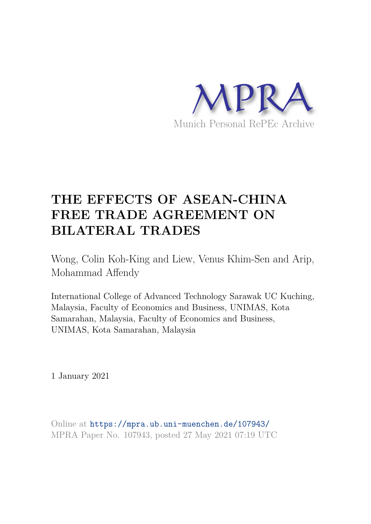

# **THE EFFECTS OF ASEAN-CHINA FREE TRADE AGREEMENT ON BILATERAL TRADES**

Wong, Colin Koh-King and Liew, Venus Khim-Sen and Arip, Mohammad Affendy

International College of Advanced Technology Sarawak UC Kuching, Malaysia, Faculty of Economics and Business, UNIMAS, Kota Samarahan, Malaysia, Faculty of Economics and Business, UNIMAS, Kota Samarahan, Malaysia

1 January 2021

Online at https://mpra.ub.uni-muenchen.de/107943/ MPRA Paper No. 107943, posted 27 May 2021 07:19 UTC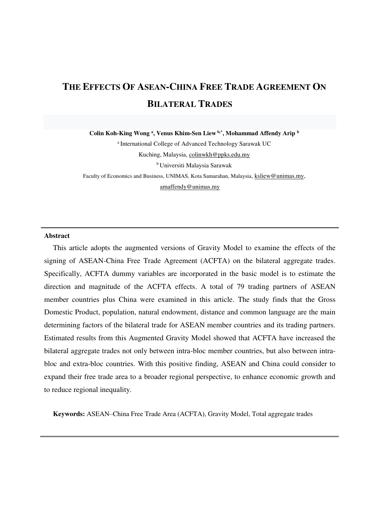# **THE EFFECTS OF ASEAN-CHINA FREE TRADE AGREEMENT ON BILATERAL TRADES**

**Colin Koh-King Wong <sup>a</sup> , Venus Khim-Sen Liew b,\* , Mohammad Affendy Arip <sup>b</sup>**

<sup>a</sup> International College of Advanced Technology Sarawak UC Kuching, Malaysia, [colinwkh@ppks.edu.my](mailto:colinwkh@ppks.edu.my)  <sup>b</sup>Universiti Malaysia Sarawak Faculty of Economics and Business, UNIMAS, Kota Samarahan, Malaysia[, ksliew@unimas.my,](mailto:ksliew@unimas.my) [amaffendy@unimas.my](mailto:amaffendy@unimas.my) 

#### **Abstract**

This article adopts the augmented versions of Gravity Model to examine the effects of the signing of ASEAN-China Free Trade Agreement (ACFTA) on the bilateral aggregate trades. Specifically, ACFTA dummy variables are incorporated in the basic model is to estimate the direction and magnitude of the ACFTA effects. A total of 79 trading partners of ASEAN member countries plus China were examined in this article. The study finds that the Gross Domestic Product, population, natural endowment, distance and common language are the main determining factors of the bilateral trade for ASEAN member countries and its trading partners. Estimated results from this Augmented Gravity Model showed that ACFTA have increased the bilateral aggregate trades not only between intra-bloc member countries, but also between intrabloc and extra-bloc countries. With this positive finding, ASEAN and China could consider to expand their free trade area to a broader regional perspective, to enhance economic growth and to reduce regional inequality.

**Keywords:** ASEAN–China Free Trade Area (ACFTA), Gravity Model, Total aggregate trades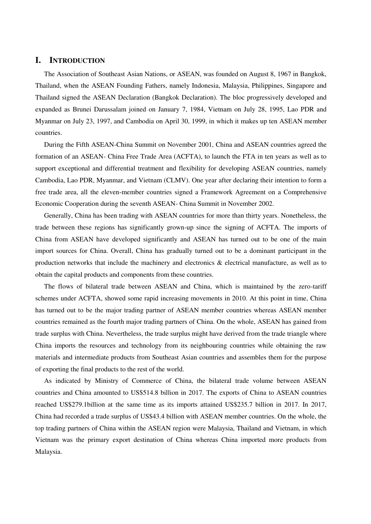### **I. INTRODUCTION**

The Association of Southeast Asian Nations, or ASEAN, was founded on August 8, 1967 in Bangkok, Thailand, when the ASEAN Founding Fathers, namely Indonesia, Malaysia, Philippines, Singapore and Thailand signed the ASEAN Declaration (Bangkok Declaration). The bloc progressively developed and expanded as Brunei Darussalam joined on January 7, 1984, Vietnam on July 28, 1995, Lao PDR and Myanmar on July 23, 1997, and Cambodia on April 30, 1999, in which it makes up ten ASEAN member countries.

During the Fifth ASEAN-China Summit on November 2001, China and ASEAN countries agreed the formation of an ASEAN- China Free Trade Area (ACFTA), to launch the FTA in ten years as well as to support exceptional and differential treatment and flexibility for developing ASEAN countries, namely Cambodia, Lao PDR, Myanmar, and Vietnam (CLMV). One year after declaring their intention to form a free trade area, all the eleven-member countries signed a Framework Agreement on a Comprehensive Economic Cooperation during the seventh ASEAN- China Summit in November 2002.

Generally, China has been trading with ASEAN countries for more than thirty years. Nonetheless, the trade between these regions has significantly grown-up since the signing of ACFTA. The imports of China from ASEAN have developed significantly and ASEAN has turned out to be one of the main import sources for China. Overall, China has gradually turned out to be a dominant participant in the production networks that include the machinery and electronics & electrical manufacture, as well as to obtain the capital products and components from these countries.

The flows of bilateral trade between ASEAN and China, which is maintained by the zero-tariff schemes under ACFTA, showed some rapid increasing movements in 2010. At this point in time, China has turned out to be the major trading partner of ASEAN member countries whereas ASEAN member countries remained as the fourth major trading partners of China. On the whole, ASEAN has gained from trade surplus with China. Nevertheless, the trade surplus might have derived from the trade triangle where China imports the resources and technology from its neighbouring countries while obtaining the raw materials and intermediate products from Southeast Asian countries and assembles them for the purpose of exporting the final products to the rest of the world.

As indicated by Ministry of Commerce of China, the bilateral trade volume between ASEAN countries and China amounted to US\$514.8 billion in 2017. The exports of China to ASEAN countries reached US\$279.1billion at the same time as its imports attained US\$235.7 billion in 2017. In 2017, China had recorded a trade surplus of US\$43.4 billion with ASEAN member countries. On the whole, the top trading partners of China within the ASEAN region were Malaysia, Thailand and Vietnam, in which Vietnam was the primary export destination of China whereas China imported more products from Malaysia.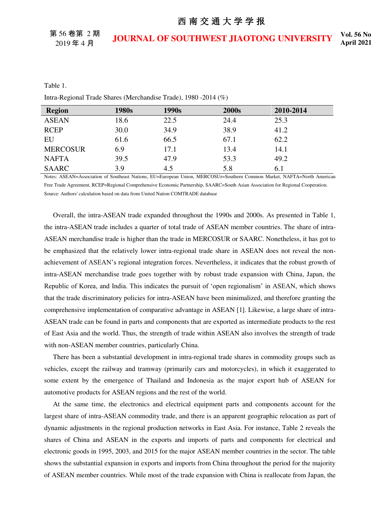第 56 卷第 2 期 2019 年 4 月

## **JOURNAL OF SOUTHWEST JIAOTONG UNIVERSITY Vol. 56 No.**

#### Table 1.

Intra-Regional Trade Shares (Merchandise Trade), 1980 -2014 (%)

| <b>Region</b>   | 1980s | 1990s | 2000s | 2010-2014 |
|-----------------|-------|-------|-------|-----------|
| <b>ASEAN</b>    | 18.6  | 22.5  | 24.4  | 25.3      |
| <b>RCEP</b>     | 30.0  | 34.9  | 38.9  | 41.2      |
| EU              | 61.6  | 66.5  | 67.1  | 62.2      |
| <b>MERCOSUR</b> | 6.9   | 17.1  | 13.4  | 14.1      |
| <b>NAFTA</b>    | 39.5  | 47.9  | 53.3  | 49.2      |
| <b>SAARC</b>    | 3.9   | 4.5   | 5.8   | 6.1       |

Notes: ASEAN=Association of Southeast Nations, EU=European Union, MERCOSUr=Southern Common Market, NAFTA=North American Free Trade Agreement, RCEP=Regional Comprehensive Economic Partnership, SAARC=South Asian Association for Regional Cooperation. Source: Authors' calculation based on data from United Nation COMTRADE database

Overall, the intra-ASEAN trade expanded throughout the 1990s and 2000s. As presented in Table 1, the intra-ASEAN trade includes a quarter of total trade of ASEAN member countries. The share of intra-ASEAN merchandise trade is higher than the trade in MERCOSUR or SAARC. Nonetheless, it has got to be emphasized that the relatively lower intra-regional trade share in ASEAN does not reveal the nonachievement of ASEAN's regional integration forces. Nevertheless, it indicates that the robust growth of intra-ASEAN merchandise trade goes together with by robust trade expansion with China, Japan, the Republic of Korea, and India. This indicates the pursuit of 'open regionalism' in ASEAN, which shows that the trade discriminatory policies for intra-ASEAN have been minimalized, and therefore granting the comprehensive implementation of comparative advantage in ASEAN [1]. Likewise, a large share of intra-ASEAN trade can be found in parts and components that are exported as intermediate products to the rest of East Asia and the world. Thus, the strength of trade within ASEAN also involves the strength of trade with non-ASEAN member countries, particularly China.

There has been a substantial development in intra-regional trade shares in commodity groups such as vehicles, except the railway and tramway (primarily cars and motorcycles), in which it exaggerated to some extent by the emergence of Thailand and Indonesia as the major export hub of ASEAN for automotive products for ASEAN regions and the rest of the world.

At the same time, the electronics and electrical equipment parts and components account for the largest share of intra-ASEAN commodity trade, and there is an apparent geographic relocation as part of dynamic adjustments in the regional production networks in East Asia. For instance, Table 2 reveals the shares of China and ASEAN in the exports and imports of parts and components for electrical and electronic goods in 1995, 2003, and 2015 for the major ASEAN member countries in the sector. The table shows the substantial expansion in exports and imports from China throughout the period for the majority of ASEAN member countries. While most of the trade expansion with China is reallocate from Japan, the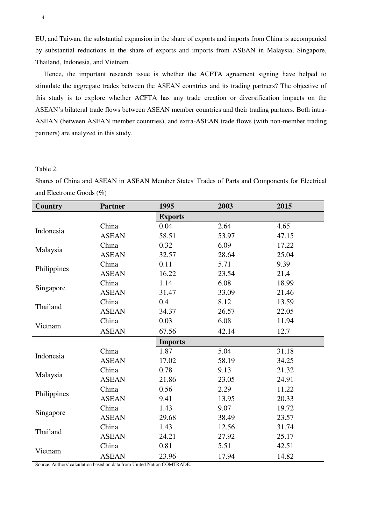EU, and Taiwan, the substantial expansion in the share of exports and imports from China is accompanied by substantial reductions in the share of exports and imports from ASEAN in Malaysia, Singapore, Thailand, Indonesia, and Vietnam.

Hence, the important research issue is whether the ACFTA agreement signing have helped to stimulate the aggregate trades between the ASEAN countries and its trading partners? The objective of this study is to explore whether ACFTA has any trade creation or diversification impacts on the ASEAN's bilateral trade flows between ASEAN member countries and their trading partners. Both intra-ASEAN (between ASEAN member countries), and extra-ASEAN trade flows (with non-member trading partners) are analyzed in this study.

#### Table 2.

Shares of China and ASEAN in ASEAN Member States' Trades of Parts and Components for Electrical and Electronic Goods (%)

| <b>Country</b> | <b>Partner</b> | 1995           | 2003  | 2015  |
|----------------|----------------|----------------|-------|-------|
|                |                | <b>Exports</b> |       |       |
| Indonesia      | China          | 0.04           | 2.64  | 4.65  |
|                | <b>ASEAN</b>   | 58.51          | 53.97 | 47.15 |
| Malaysia       | China          | 0.32           | 6.09  | 17.22 |
|                | <b>ASEAN</b>   | 32.57          | 28.64 | 25.04 |
| Philippines    | China          | 0.11           | 5.71  | 9.39  |
|                | <b>ASEAN</b>   | 16.22          | 23.54 | 21.4  |
|                | China          | 1.14           | 6.08  | 18.99 |
| Singapore      | <b>ASEAN</b>   | 31.47          | 33.09 | 21.46 |
| Thailand       | China          | 0.4            | 8.12  | 13.59 |
|                | <b>ASEAN</b>   | 34.37          | 26.57 | 22.05 |
|                | China          | 0.03           | 6.08  | 11.94 |
| Vietnam        | <b>ASEAN</b>   | 67.56          | 42.14 | 12.7  |
|                |                | <b>Imports</b> |       |       |
| Indonesia      | China          | 1.87           | 5.04  | 31.18 |
|                | <b>ASEAN</b>   | 17.02          | 58.19 | 34.25 |
|                | China          | 0.78           | 9.13  | 21.32 |
| Malaysia       | <b>ASEAN</b>   | 21.86          | 23.05 | 24.91 |
| Philippines    | China          | 0.56           | 2.29  | 11.22 |
|                | <b>ASEAN</b>   | 9.41           | 13.95 | 20.33 |
|                | China          | 1.43           | 9.07  | 19.72 |
| Singapore      | <b>ASEAN</b>   | 29.68          | 38.49 | 23.57 |
| Thailand       | China          | 1.43           | 12.56 | 31.74 |
|                | <b>ASEAN</b>   | 24.21          | 27.92 | 25.17 |
|                | China          | 0.81           | 5.51  | 42.51 |
| Vietnam        | <b>ASEAN</b>   | 23.96          | 17.94 | 14.82 |

Source: Authors' calculation based on data from United Nation COMTRADE.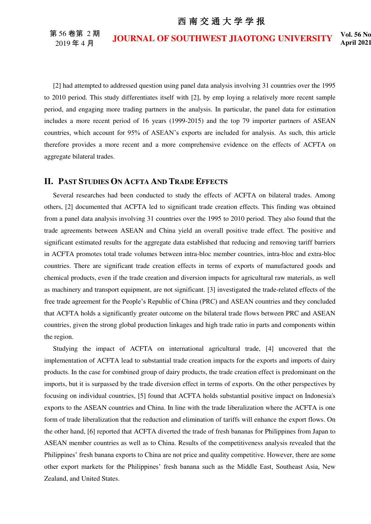第 56 卷第 2 期 2019 年 4 月

**JOURNAL OF SOUTHWEST JIAOTONG UNIVERSITY Vol. 56 No.** 

[2] had attempted to addressed question using panel data analysis involving 31 countries over the 1995 to 2010 period. This study differentiates itself with [2], by emp loying a relatively more recent sample period, and engaging more trading partners in the analysis. In particular, the panel data for estimation includes a more recent period of 16 years (1999-2015) and the top 79 importer partners of ASEAN countries, which account for 95% of ASEAN's exports are included for analysis. As such, this article therefore provides a more recent and a more comprehensive evidence on the effects of ACFTA on aggregate bilateral trades.

#### **II. PAST STUDIES ON ACFTA AND TRADE EFFECTS**

Several researches had been conducted to study the effects of ACFTA on bilateral trades. Among others, [2] documented that ACFTA led to significant trade creation effects. This finding was obtained from a panel data analysis involving 31 countries over the 1995 to 2010 period. They also found that the trade agreements between ASEAN and China yield an overall positive trade effect. The positive and significant estimated results for the aggregate data established that reducing and removing tariff barriers in ACFTA promotes total trade volumes between intra-bloc member countries, intra-bloc and extra-bloc countries. There are significant trade creation effects in terms of exports of manufactured goods and chemical products, even if the trade creation and diversion impacts for agricultural raw materials, as well as machinery and transport equipment, are not significant. [3] investigated the trade-related effects of the free trade agreement for the People's Republic of China (PRC) and ASEAN countries and they concluded that ACFTA holds a significantly greater outcome on the bilateral trade flows between PRC and ASEAN countries, given the strong global production linkages and high trade ratio in parts and components within the region.

Studying the impact of ACFTA on international agricultural trade, [4] uncovered that the implementation of ACFTA lead to substantial trade creation impacts for the exports and imports of dairy products. In the case for combined group of dairy products, the trade creation effect is predominant on the imports, but it is surpassed by the trade diversion effect in terms of exports. On the other perspectives by focusing on individual countries, [5] found that ACFTA holds substantial positive impact on Indonesia's exports to the ASEAN countries and China. In line with the trade liberalization where the ACFTA is one form of trade liberalization that the reduction and elimination of tariffs will enhance the export flows. On the other hand, [6] reported that ACFTA diverted the trade of fresh bananas for Philippines from Japan to ASEAN member countries as well as to China. Results of the competitiveness analysis revealed that the Philippines' fresh banana exports to China are not price and quality competitive. However, there are some other export markets for the Philippines' fresh banana such as the Middle East, Southeast Asia, New Zealand, and United States.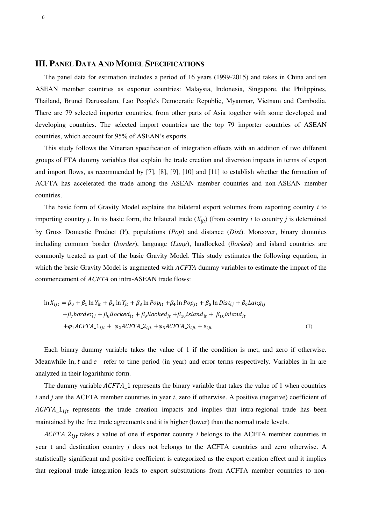#### **III. PANEL DATA AND MODEL SPECIFICATIONS**

The panel data for estimation includes a period of 16 years (1999-2015) and takes in China and ten ASEAN member countries as exporter countries: Malaysia, Indonesia, Singapore, the Philippines, Thailand, Brunei Darussalam, Lao People's Democratic Republic, Myanmar, Vietnam and Cambodia. There are 79 selected importer countries, from other parts of Asia together with some developed and developing countries. The selected import countries are the top 79 importer countries of ASEAN countries, which account for 95% of ASEAN's exports.

This study follows the Vinerian specification of integration effects with an addition of two different groups of FTA dummy variables that explain the trade creation and diversion impacts in terms of export and import flows, as recommended by [7], [8], [9], [10] and [11] to establish whether the formation of ACFTA has accelerated the trade among the ASEAN member countries and non-ASEAN member countries.

The basic form of Gravity Model explains the bilateral export volumes from exporting country *i* to importing country *j*. In its basic form, the bilateral trade  $(X_{ijt})$  (from country *i* to country *j* is determined by Gross Domestic Product (*Y*), populations (*Pop*) and distance (*Dist*). Moreover, binary dummies including common border (*border*), language (*Lang*), landlocked (*llocked*) and island countries are commonly treated as part of the basic Gravity Model. This study estimates the following equation, in which the basic Gravity Model is augmented with *ACFTA* dummy variables to estimate the impact of the commencement of *ACFTA* on intra-ASEAN trade flows:

$$
\ln X_{ijt} = \beta_0 + \beta_1 \ln Y_{it} + \beta_2 \ln Y_{jt} + \beta_3 \ln Pop_{it} + \beta_4 \ln Pop_{jt} + \beta_5 \ln Dist_{ij} + \beta_6 Lang_{ij}
$$
  
+  $\beta_7 border_{ij} + \beta_8 llocked_{it} + \beta_9 llocked_{jt} + \beta_{10} island_{it} + \beta_{10} island_{jt}$   
+  $\varphi_1 ACTA_1_{ijt} + \varphi_2 ACTA_2_{ijt} + \varphi_3 ACTA_3_{ijt} + \varepsilon_{ijt}$  (1)

Each binary dummy variable takes the value of 1 if the condition is met, and zero if otherwise. Meanwhile ln,  $t$  and  $e$  refer to time period (in year) and error terms respectively. Variables in ln are analyzed in their logarithmic form.

The dummy variable  $ACFTA$  1 represents the binary variable that takes the value of 1 when countries *i* and *j* are the ACFTA member countries in year *t*, zero if otherwise. A positive (negative) coefficient of  $ACFTA_1_{i}$  represents the trade creation impacts and implies that intra-regional trade has been maintained by the free trade agreements and it is higher (lower) than the normal trade levels.

 $ACFTA_2_{ijt}$  takes a value of one if exporter country *i* belongs to the ACFTA member countries in year t and destination country *j* does not belongs to the ACFTA countries and zero otherwise. A statistically significant and positive coefficient is categorized as the export creation effect and it implies that regional trade integration leads to export substitutions from ACFTA member countries to non-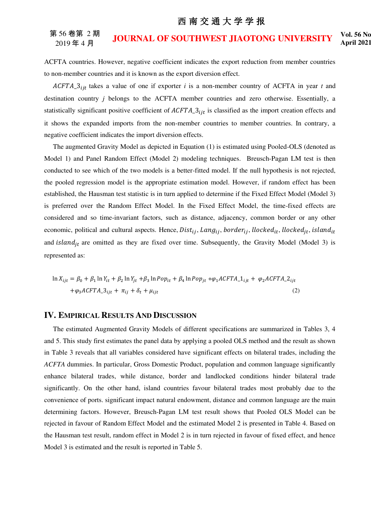#### 第 56 卷第 2 期 2019 年 4 月 **JOURNAL OF SOUTHWEST JIAOTONG UNIVERSITY Vol. 56 No.**

**April 2021** 

ACFTA countries. However, negative coefficient indicates the export reduction from member countries to non-member countries and it is known as the export diversion effect.

 $ACFTA_3_{ijt}$  takes a value of one if exporter *i* is a non-member country of ACFTA in year *t* and destination country *j* belongs to the ACFTA member countries and zero otherwise. Essentially, a statistically significant positive coefficient of  $ACFTA_3_{ijt}$  is classified as the import creation effects and it shows the expanded imports from the non-member countries to member countries. In contrary, a negative coefficient indicates the import diversion effects.

The augmented Gravity Model as depicted in Equation (1) is estimated using Pooled-OLS (denoted as Model 1) and Panel Random Effect (Model 2) modeling techniques. Breusch-Pagan LM test is then conducted to see which of the two models is a better-fitted model. If the null hypothesis is not rejected, the pooled regression model is the appropriate estimation model. However, if random effect has been established, the Hausman test statistic is in turn applied to determine if the Fixed Effect Model (Model 3) is preferred over the Random Effect Model. In the Fixed Effect Model, the time-fixed effects are considered and so time-invariant factors, such as distance, adjacency, common border or any other economic, political and cultural aspects. Hence,  $Dist_{ij}$ , Lang<sub>ij</sub>, border<sub>ij</sub>, llocked<sub>it</sub>, llocked<sub>it</sub>, island<sub>it</sub> and *island<sub>it</sub>* are omitted as they are fixed over time. Subsequently, the Gravity Model (Model 3) is represented as:

$$
\ln X_{ijt} = \beta_0 + \beta_1 \ln Y_{it} + \beta_2 \ln Y_{jt} + \beta_3 \ln Pop_{it} + \beta_4 \ln Pop_{jt} + \varphi_1 ACFTA_1_{ijt} + \varphi_2 ACFTA_2_{ijt}
$$
  
+ $\varphi_3 ACFTA_3_{ijt} + \pi_{ij} + \delta_t + \mu_{ijt}$  (2)

### **IV. EMPIRICAL RESULTS AND DISCUSSION**

The estimated Augmented Gravity Models of different specifications are summarized in Tables 3, 4 and 5. This study first estimates the panel data by applying a pooled OLS method and the result as shown in Table 3 reveals that all variables considered have significant effects on bilateral trades, including the *ACFTA* dummies. In particular, Gross Domestic Product, population and common language significantly enhance bilateral trades, while distance, border and landlocked conditions hinder bilateral trade significantly. On the other hand, island countries favour bilateral trades most probably due to the convenience of ports. significant impact natural endowment, distance and common language are the main determining factors. However, Breusch-Pagan LM test result shows that Pooled OLS Model can be rejected in favour of Random Effect Model and the estimated Model 2 is presented in Table 4. Based on the Hausman test result, random effect in Model 2 is in turn rejected in favour of fixed effect, and hence Model 3 is estimated and the result is reported in Table 5.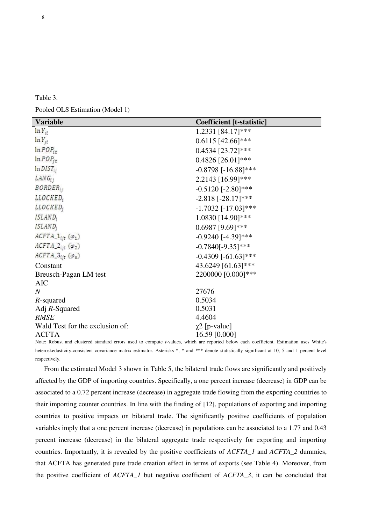| `able |  |
|-------|--|
|-------|--|

Pooled OLS Estimation (Model 1)

| <b>Variable</b>                          | <b>Coefficient</b> [t-statistic] |
|------------------------------------------|----------------------------------|
| $ln Y_{it}$                              | 1.2331 [84.17]***                |
| $ln Y_{jt}$                              | $0.6115$ [42.66]***              |
| $ln POP_{ir}$                            | $0.4534$ [23.72]***              |
| $ln POP_{it}$                            | 0.4826 [26.01]***                |
| $ln DIST_{ii}$                           | $-0.8798$ [ $-16.88$ ]***        |
| $LANG_{ij}$                              | 2.2143 [16.99]***                |
| <i>BORDER</i> <sub>ij</sub>              | $-0.5120$ [ $-2.80$ ]***         |
| LLOCKED;                                 | $-2.818$ [ $-28.17$ ]***         |
| LLOCKED;                                 | $-1.7032$ [ $-17.03$ ]***        |
| ISLAND;                                  | 1.0830 [14.90]***                |
| ISLAND <sub>i</sub>                      | $0.6987$ [9.69]***               |
| $ACFTA_1_{ijt} (\varphi_1)$              | $-0.9240$ [-4.39]***             |
| $ACFTA_2_{ijt} (\varphi_2)$              | $-0.7840[-9.35]***$              |
| $ACFTA_3$ <sub>ijt</sub> ( $\varphi_3$ ) | $-0.4309$ [ $-61.63$ ]***        |
| Constant                                 | 43.6249 [61.63]***               |
| Breusch-Pagan LM test                    | 2200000 [0.000]***               |
| <b>AIC</b>                               |                                  |
| $\overline{N}$                           | 27676                            |
| R-squared                                | 0.5034                           |
| Adj $R$ -Squared                         | 0.5031                           |
| <b>RMSE</b>                              | 4.4604                           |
| Wald Test for the exclusion of:          | $\chi$ 2 [p-value]               |
| <b>ACFTA</b>                             | 16.59 [0.000]                    |

Note: Robust and clustered standard errors used to compute *t*-values, which are reported below each coefficient. Estimation uses White's heteroskedasticity-consistent covariance matrix estimator. Asterisks \*, \* and \*\*\* denote statistically significant at 10, 5 and 1 percent level respectively.

From the estimated Model 3 shown in Table 5, the bilateral trade flows are significantly and positively affected by the GDP of importing countries. Specifically, a one percent increase (decrease) in GDP can be associated to a 0.72 percent increase (decrease) in aggregate trade flowing from the exporting countries to their importing counter countries. In line with the finding of [12], populations of exporting and importing countries to positive impacts on bilateral trade. The significantly positive coefficients of population variables imply that a one percent increase (decrease) in populations can be associated to a 1.77 and 0.43 percent increase (decrease) in the bilateral aggregate trade respectively for exporting and importing countries. Importantly, it is revealed by the positive coefficients of *ACFTA\_1* and *ACFTA\_2* dummies, that ACFTA has generated pure trade creation effect in terms of exports (see Table 4). Moreover, from the positive coefficient of *ACFTA\_1* but negative coefficient of *ACFTA\_3*, it can be concluded that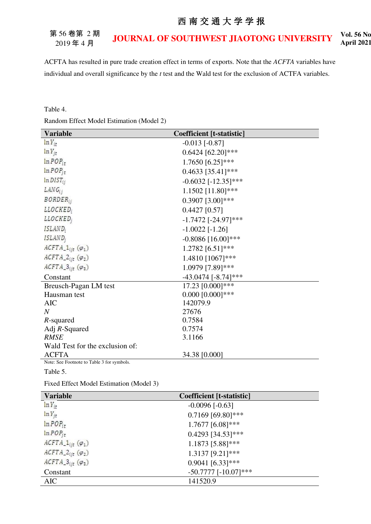#### 第 56 卷第 2 期 2019 年 4 月 **JOURNAL OF SOUTHWEST JIAOTONG UNIVERSITY Vol. 56 No. April 2021**

ACFTA has resulted in pure trade creation effect in terms of exports. Note that the *ACFTA* variables have individual and overall significance by the *t* test and the Wald test for the exclusion of ACTFA variables.

Table 4.

Random Effect Model Estimation (Model 2)

| <b>Variable</b>                            | <b>Coefficient</b> [t-statistic] |
|--------------------------------------------|----------------------------------|
| $ln Y_{it}$                                | $-0.013$ [ $-0.87$ ]             |
| $ln Y_{it}$                                | $0.6424$ [62.20]***              |
| $ln POP_{it}$                              | 1.7650 [6.25]***                 |
| $ln POP_{it}$                              | $0.4633$ [35.41]***              |
| $ln DIST_{ii}$                             | $-0.6032$ [ $-12.35$ ]***        |
| $LANG_{ij}$                                | 1.1502 [11.80]***                |
| <b>BORDER</b> <sub>ij</sub>                | $0.3907$ [3.00]***               |
| LLOCKED;                                   | $0.4427$ [0.57]                  |
| <i>LLOCKED</i> ;                           | $-1.7472$ [ $-24.97$ ]***        |
| ISLAND;                                    | $-1.0022$ [ $-1.26$ ]            |
| ISLAND <sub>i</sub>                        | $-0.8086$ [16.00]***             |
| $ACFTA_1_{ijt} (\varphi_1)$                | 1.2782 [6.51]***                 |
| $ACFTA_2_{ijt} (\varphi_2)$                | 1.4810 [1067]***                 |
| $ACFTA_3$ <sub>ijt</sub> ( $\varphi_3$ )   | 1.0979 [7.89]***                 |
| Constant                                   | $-43.0474$ [ $-8.74$ ]***        |
| Breusch-Pagan LM test                      | 17.23 [0.000]***                 |
| Hausman test                               | $0.000$ [0.000]***               |
| <b>AIC</b>                                 | 142079.9                         |
| $\overline{N}$                             | 27676                            |
| R-squared                                  | 0.7584                           |
| Adj $R$ -Squared                           | 0.7574                           |
| <b>RMSE</b>                                | 3.1166                           |
| Wald Test for the exclusion of:            |                                  |
| <b>ACFTA</b>                               | 34.38 [0.000]                    |
| Note: See Footnote to Table 3 for symbols. |                                  |

Table 5.

Fixed Effect Model Estimation (Model 3)

| <b>Variable</b>                          | <b>Coefficient</b> [t-statistic] |  |
|------------------------------------------|----------------------------------|--|
| $ln Y_{ir}$                              | $-0.0096$ $[-0.63]$              |  |
| $ln Y_{jt}$                              | $0.7169$ [69.80]***              |  |
| $ln POP_{it}$                            | $1.7677$ [6.08]***               |  |
| $ln POP_{it}$                            | $0.4293$ [34.53]***              |  |
| $ACFTA_1_{ijt} (\varphi_1)$              | $1.1873$ [5.88]***               |  |
| $ACFTA_2_{ijt} (\varphi_2)$              | 1.3137 [9.21]***                 |  |
| $ACFTA_3$ <sub>ijt</sub> ( $\varphi_3$ ) | $0.9041$ [6.33]***               |  |
| Constant                                 | $-50.7777$ [ $-10.07$ ]***       |  |
| <b>AIC</b>                               | 141520.9                         |  |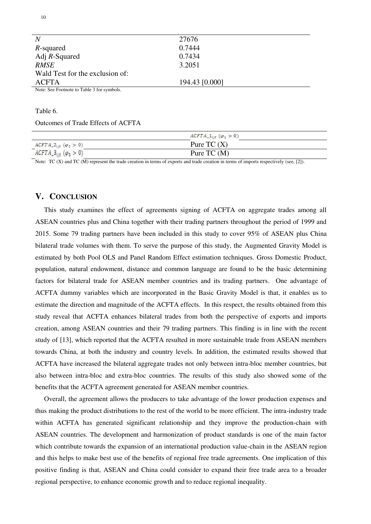| $\overline{N}$                             | 27676          |
|--------------------------------------------|----------------|
| R-squared                                  | 0.7444         |
| Adj $R$ -Squared                           | 0.7434         |
| RMSE                                       | 3.2051         |
| Wald Test for the exclusion of:            |                |
| <b>ACFTA</b>                               | 194.43 [0.000] |
| Note: See Footnote to Table 3 for symbols. |                |

#### Table 6.

Outcomes of Trade Effects of ACFTA

|                                                                         | $ACFTA_1_{ijt} (\varphi_1 > 0)$ |  |
|-------------------------------------------------------------------------|---------------------------------|--|
| $ACFTA_2_{ijt} (\varphi_2 > 0)$                                         | Pure TC $(X)$                   |  |
| the company's company's<br>$ACFTA_3$ <sub>iit</sub> ( $\varphi_3 > 0$ ) | Pure TC $(M)$                   |  |

Note: TC (X) and TC (M) represent the trade creation in terms of exports and trade creation in terms of imports respectively (see, [2]).

#### **V. CONCLUSION**

This study examines the effect of agreements signing of ACFTA on aggregate trades among all ASEAN countries plus and China together with their trading partners throughout the period of 1999 and 2015. Some 79 trading partners have been included in this study to cover 95% of ASEAN plus China bilateral trade volumes with them. To serve the purpose of this study, the Augmented Gravity Model is estimated by both Pool OLS and Panel Random Effect estimation techniques. Gross Domestic Product, population, natural endowment, distance and common language are found to be the basic determining factors for bilateral trade for ASEAN member countries and its trading partners. One advantage of ACFTA dummy variables which are incorporated in the Basic Gravity Model is that, it enables us to estimate the direction and magnitude of the ACFTA effects. In this respect, the results obtained from this study reveal that ACFTA enhances bilateral trades from both the perspective of exports and imports creation, among ASEAN countries and their 79 trading partners. This finding is in line with the recent study of [13], which reported that the ACFTA resulted in more sustainable trade from ASEAN members towards China, at both the industry and country levels. In addition, the estimated results showed that ACFTA have increased the bilateral aggregate trades not only between intra-bloc member countries, but also between intra-bloc and extra-bloc countries. The results of this study also showed some of the benefits that the ACFTA agreement generated for ASEAN member countries.

Overall, the agreement allows the producers to take advantage of the lower production expenses and thus making the product distributions to the rest of the world to be more efficient. The intra-industry trade within ACFTA has generated significant relationship and they improve the production-chain with ASEAN countries. The development and harmonization of product standards is one of the main factor which contribute towards the expansion of an international production value-chain in the ASEAN region and this helps to make best use of the benefits of regional free trade agreements. One implication of this positive finding is that, ASEAN and China could consider to expand their free trade area to a broader regional perspective, to enhance economic growth and to reduce regional inequality.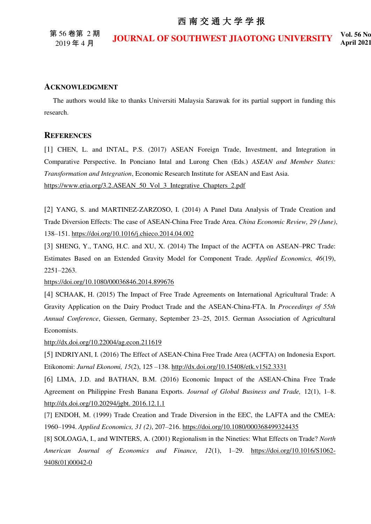第 56 卷第 2 期 2019 年 4 月

**JOURNAL OF SOUTHWEST JIAOTONG UNIVERSITY Vol. 56 No.** 

#### **ACKNOWLEDGMENT**

The authors would like to thanks Universiti Malaysia Sarawak for its partial support in funding this research.

### **REFERENCES**

[1] CHEN, L. and INTAL, P.S. (2017) ASEAN Foreign Trade, Investment, and Integration in Comparative Perspective. In Ponciano Intal and Lurong Chen (Eds.) *ASEAN and Member States: Transformation and Integration*, Economic Research Institute for ASEAN and East Asia. [https://www.eria.org/3.2.ASEAN\\_50\\_Vol\\_3\\_Integrative\\_Chapters\\_2.pdf](https://www.eria.org/3.2.ASEAN_50_Vol_3_Integrative_Chapters_2.pdf) 

[2] YANG, S. and MARTINEZ-ZARZOSO, I. (2014) A Panel Data Analysis of Trade Creation and Trade Diversion Effects: The case of ASEAN-China Free Trade Area. *China Economic Review, 29 (June)*, 138–151.<https://doi.org/10.1016/j.chieco.2014.04.002>

[3] SHENG, Y., TANG, H.C. and XU, X. (2014) The Impact of the ACFTA on ASEAN–PRC Trade: Estimates Based on an Extended Gravity Model for Component Trade. *Applied Economics, 46*(19), 2251–2263.

<https://doi.org/10.1080/00036846.2014.899676>

[4] SCHAAK, H. (2015) The Impact of Free Trade Agreements on International Agricultural Trade: A Gravity Application on the Dairy Product Trade and the ASEAN-China-FTA. In *Proceedings of 55th Annual Conference*, Giessen, Germany, September 23–25, 2015. German Association of Agricultural Economists.

<http://dx.doi.org/10.22004/ag.econ.211619>

[5] INDRIYANI, I. (2016) The Effect of ASEAN-China Free Trade Area (ACFTA) on Indonesia Export. Etikonomi: *Jurnal Ekonomi, 15*(2), 125 –138.<http://dx.doi.org/10.15408/etk.v15i2.3331>

[6] LIMA, J.D. and BATHAN, B.M. (2016) Economic Impact of the ASEAN-China Free Trade Agreement on Philippine Fresh Banana Exports. *Journal of Global Business and Trade,* 12(1), 1–8. [http://dx.doi.org/10.20294/jgbt. 2016.12.1.1](http://dx.doi.org/10.20294/jgbt.%202016.12.1.1) 

[7] ENDOH, M. (1999) Trade Creation and Trade Diversion in the EEC, the LAFTA and the CMEA: 1960–1994. *Applied Economics, 31 (2)*, 207–216[. https://doi.org/10.1080/000368499324435](https://doi.org/10.1080/000368499324435) 

[8] SOLOAGA, I., and WINTERS, A. (2001) Regionalism in the Nineties: What Effects on Trade? *North American Journal of Economics and Finance, 12*(1), 1–29. [https://doi.org/10.1016/S1062-](https://doi.org/10.1016/S1062-9408(01)00042-0) [9408\(01\)00042-0](https://doi.org/10.1016/S1062-9408(01)00042-0)